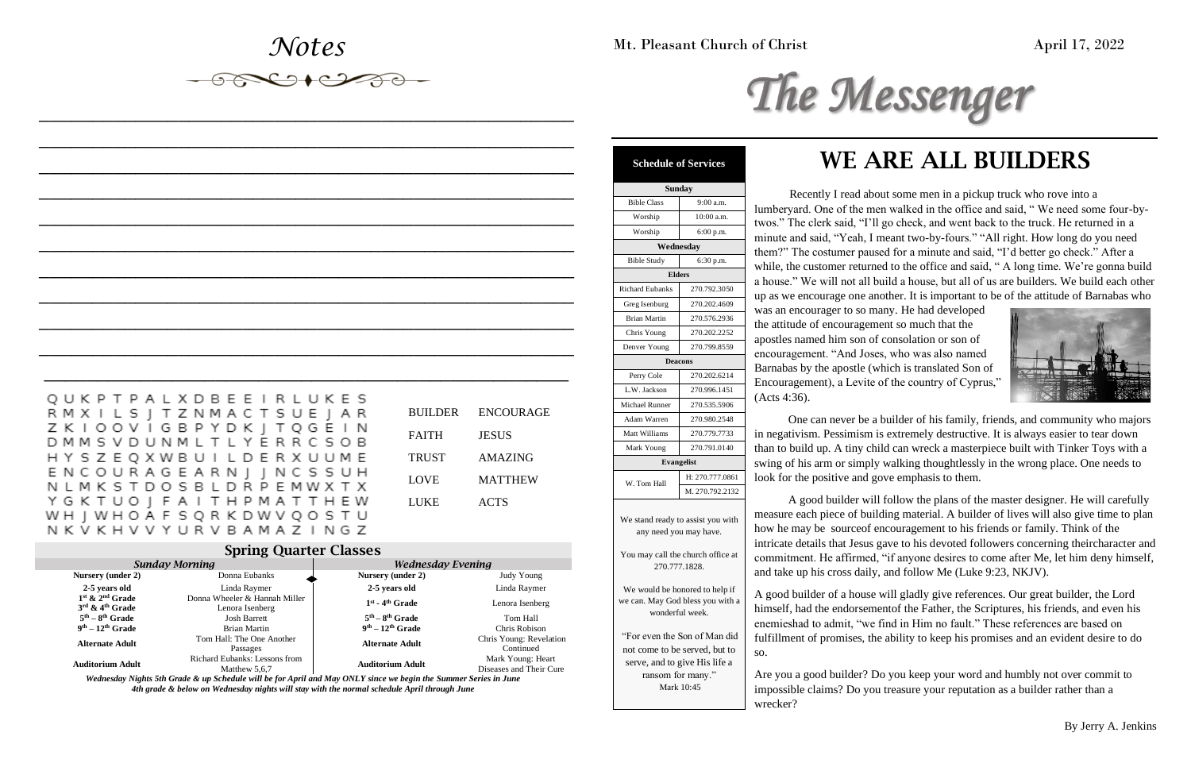## *Notes*

*\_\_\_\_\_\_\_\_\_\_\_\_\_\_\_\_\_\_\_\_\_\_\_\_\_\_\_\_\_\_\_\_\_\_\_\_\_\_\_\_\_\_\_\_\_\_\_\_\_\_*

*\_\_\_\_\_\_\_\_\_\_\_\_\_\_\_\_\_\_\_\_\_\_\_\_\_\_\_\_\_\_\_\_\_\_\_\_\_\_\_\_\_\_\_\_\_\_\_\_\_\_*

*\_\_\_\_\_\_\_\_\_\_\_\_\_\_\_\_\_\_\_\_\_\_\_\_\_\_\_\_\_\_\_\_\_\_\_\_\_\_\_\_\_\_\_\_\_\_\_\_\_\_*

*\_\_\_\_\_\_\_\_\_\_\_\_\_\_\_\_\_\_\_\_\_\_\_\_\_\_\_\_\_\_\_\_\_\_\_\_\_\_\_\_\_\_\_\_\_\_\_\_\_\_*

*\_\_\_\_\_\_\_\_\_\_\_\_\_\_\_\_\_\_\_\_\_\_\_\_\_\_\_\_\_\_\_\_\_\_\_\_\_\_\_\_\_\_\_\_\_\_\_\_\_\_*

*\_\_\_\_\_\_\_\_\_\_\_\_\_\_\_\_\_\_\_\_\_\_\_\_\_\_\_\_\_\_\_\_\_\_\_\_\_\_\_\_\_\_\_\_\_\_\_\_\_\_*

*\_\_\_\_\_\_\_\_\_\_\_\_\_\_\_\_\_\_\_\_\_\_\_\_\_\_\_\_\_\_\_\_\_\_\_\_\_\_\_\_\_\_\_\_\_\_\_\_\_\_*

*\_\_\_\_\_\_\_\_\_\_\_\_\_\_\_\_\_\_\_\_\_\_\_\_\_\_\_\_\_\_\_\_\_\_\_\_\_\_\_\_\_\_\_\_\_\_\_\_\_\_ \_\_\_\_\_\_\_\_\_\_\_\_\_\_\_\_\_\_\_\_\_\_\_\_\_\_\_\_\_\_\_\_\_\_\_\_\_\_\_\_\_\_\_\_\_\_\_\_\_\_*

*\_\_\_\_\_\_\_\_\_\_\_\_\_\_\_\_\_\_\_\_\_\_\_\_\_\_\_\_\_\_\_\_\_\_\_\_\_\_\_\_\_\_\_\_\_\_\_\_\_\_*

Mt. Pleasant Church of Christ April 17, 2022

# The Messenger

# WE ARE ALL BUILDERS

Recently I read about some men in a pickup truck who rove into a lumberyard. One of the men walked in the office and said, " We need some four-bytwos." The clerk said, "I'll go check, and went back to the truck. He returned in a minute and said, "Yeah, I meant two-by-fours." "All right. How long do you need them?" The costumer paused for a minute and said, "I'd better go check." After a while, the customer returned to the office and said, "A long time. We're gonna build a house." We will not all build a house, but all of us are builders. We build each other up as we encourage one another. It is important to be of the attitude of Barnabas who



was an encourager to so many. He had developed the attitude of encouragement so much that the apostles named him son of consolation or son of encouragement. "And Joses, who was also named Barnabas by the apostle (which is translated Son of Encouragement), a Levite of the country of Cyprus," (Acts 4:36).

One can never be a builder of his family, friends, and community who majors in negativism. Pessimism is extremely destructive. It is always easier to tear down than to build up. A tiny child can wreck a masterpiece built with Tinker Toys with a swing of his arm or simply walking thoughtlessly in the wrong place. One needs to look for the positive and gove emphasis to them.

A good builder will follow the plans of the master designer. He will carefully measure each piece of building material. A builder of lives will also give time to plan how he may be sourceof encouragement to his friends or family. Think of the intricate details that Jesus gave to his devoted followers concerning theircharacter and commitment. He affirmed, "if anyone desires to come after Me, let him deny himself, and take up his cross daily, and follow Me (Luke 9:23, NKJV).

A good builder of a house will gladly give references. Our great builder, the Lord himself, had the endorsementof the Father, the Scriptures, his friends, and even his enemieshad to admit, "we find in Him no fault." These references are based on fulfillment of promises, the ability to keep his promises and an evident desire to do so.

Are you a good builder? Do you keep your word and humbly not over commit to impossible claims? Do you treasure your reputation as a builder rather than a wrecker?

### Spring Quarter Classes

| <b>Sunday Morning</b>                                          |                                                  | <b>Wednesday Evening</b> |                                              |
|----------------------------------------------------------------|--------------------------------------------------|--------------------------|----------------------------------------------|
| Nursery (under 2)                                              | Donna Eubanks                                    | Nursery (under 2)        | Judy Young                                   |
| 2-5 years old                                                  | Linda Raymer                                     | 2-5 years old            | Linda Raymer                                 |
| $1st$ & $2nd$ Grade<br>$3^{\text{rd}}$ & $4^{\text{th}}$ Grade | Donna Wheeler & Hannah Miller<br>Lenora Isenberg | $1st$ - $4th$ Grade      | Lenora Isenberg                              |
| $5th - 8th$ Grade                                              | <b>Josh Barrett</b>                              | $5th - 8th$ Grade        | Tom Hall                                     |
| $9th - 12th$ Grade                                             | Brian Martin                                     | $9th - 12th$ Grade       | Chris Robison                                |
| <b>Alternate Adult</b>                                         | Tom Hall: The One Another<br>Passages            | <b>Alternate Adult</b>   | Chris Young: Revelation<br>Continued         |
| <b>Auditorium Adult</b>                                        | Richard Eubanks: Lessons from<br>Matthew 5,6,7   | <b>Auditorium Adult</b>  | Mark Young: Heart<br>Diseases and Their Cure |

*Wednesday Nights 5th Grade & up Schedule will be for April and May ONLY since we begin the Summer Series in June 4th grade & below on Wednesday nights will stay with the normal schedule April through June*

| <b>Schedule of Services</b>                                                                                         |                   |  |  |  |
|---------------------------------------------------------------------------------------------------------------------|-------------------|--|--|--|
| <b>Sunday</b>                                                                                                       |                   |  |  |  |
| <b>Bible Class</b>                                                                                                  | 9:00 a.m.         |  |  |  |
| Worship                                                                                                             | 10:00 a.m.        |  |  |  |
| Worship                                                                                                             | 6:00 p.m.         |  |  |  |
| Wednesday                                                                                                           |                   |  |  |  |
| <b>Bible Study</b>                                                                                                  | 6:30 p.m.         |  |  |  |
| <b>Elders</b>                                                                                                       |                   |  |  |  |
| <b>Richard Eubanks</b>                                                                                              | 270.792.3050      |  |  |  |
| Greg Isenburg                                                                                                       | 270.202.4609      |  |  |  |
| <b>Brian Martin</b>                                                                                                 | 270.576.2936      |  |  |  |
| Chris Young                                                                                                         | 270.202.2252      |  |  |  |
| Denver Young                                                                                                        | 270.799.8559      |  |  |  |
| <b>Deacons</b>                                                                                                      |                   |  |  |  |
| Perry Cole                                                                                                          | 270.202.6214      |  |  |  |
| L.W. Jackson                                                                                                        | 270.996.1451      |  |  |  |
| Michael Runner                                                                                                      | 270.535.5906      |  |  |  |
| Adam Warren                                                                                                         | 270.980.2548      |  |  |  |
| Matt Williams                                                                                                       | 270.779.7733      |  |  |  |
| Mark Young                                                                                                          | 270.791.0140      |  |  |  |
|                                                                                                                     | <b>Evangelist</b> |  |  |  |
|                                                                                                                     | H: 270.777.0861   |  |  |  |
| W. Tom Hall                                                                                                         | M. 270.792.2132   |  |  |  |
| We stand ready to assist you with<br>any need you may have.                                                         |                   |  |  |  |
| You may call the church office at<br>270.777.1828.                                                                  |                   |  |  |  |
| We would be honored to help if<br>we can. May God bless you with a<br>wonderful week.                               |                   |  |  |  |
| "For even the Son of Man did<br>not come to be served, but to<br>serve, and to give His life a<br>ransom for many." |                   |  |  |  |

| Bible Class                                                                                                       | 9:00 a.m.         |  |  |  |  |
|-------------------------------------------------------------------------------------------------------------------|-------------------|--|--|--|--|
| Worship                                                                                                           | 10:00 a.m.        |  |  |  |  |
| Worship                                                                                                           | 6:00 p.m.         |  |  |  |  |
| Wednesday                                                                                                         |                   |  |  |  |  |
| <b>Bible Study</b>                                                                                                | 6:30 p.m.         |  |  |  |  |
| <b>Elders</b>                                                                                                     |                   |  |  |  |  |
| <b>Richard Eubanks</b>                                                                                            | 270.792.3050      |  |  |  |  |
| Greg Isenburg                                                                                                     | 270.202.4609      |  |  |  |  |
| <b>Brian Martin</b>                                                                                               | 270.576.2936      |  |  |  |  |
| Chris Young                                                                                                       | 270.202.2252      |  |  |  |  |
| Denver Young                                                                                                      | 270.799.8559      |  |  |  |  |
| <b>Deacons</b>                                                                                                    |                   |  |  |  |  |
| Perry Cole                                                                                                        | 270.202.6214      |  |  |  |  |
| L.W. Jackson                                                                                                      | 270.996.1451      |  |  |  |  |
| <b>Michael Runner</b>                                                                                             | 270.535.5906      |  |  |  |  |
| Adam Warren                                                                                                       | 270.980.2548      |  |  |  |  |
| Matt Williams                                                                                                     | 270.779.7733      |  |  |  |  |
| Mark Young                                                                                                        | 270.791.0140      |  |  |  |  |
|                                                                                                                   | <b>Evangelist</b> |  |  |  |  |
| W. Tom Hall                                                                                                       | H: 270.777.0861   |  |  |  |  |
|                                                                                                                   | M. 270.792.2132   |  |  |  |  |
| We stand ready to assist you with<br>any need you may have.<br>You may call the church office at<br>270.777.1828. |                   |  |  |  |  |
| We would be honored to help if<br>we can. May God bless you with a<br>wonderful week.                             |                   |  |  |  |  |
| "For even the Son of Man did<br>not come to be served, but to                                                     |                   |  |  |  |  |

Mark 10:45